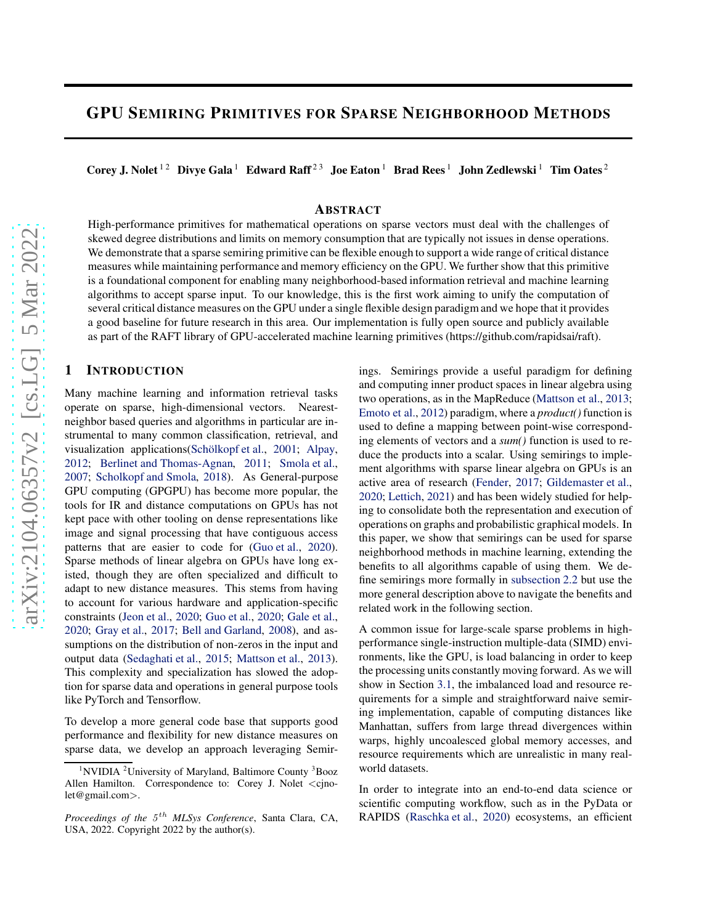# GPU SEMIRING PRIMITIVES FOR SPARSE NEIGHBORHOOD METHODS

Corey J. Nolet<sup>12</sup> Divye Gala<sup>1</sup> Edward Raff<sup>23</sup> Joe Eaton<sup>1</sup> Brad Rees<sup>1</sup> John Zedlewski<sup>1</sup> Tim Oates<sup>2</sup>

## ABSTRACT

High-performance primitives for mathematical operations on sparse vectors must deal with the challenges of skewed degree distributions and limits on memory consumption that are typically not issues in dense operations. We demonstrate that a sparse semiring primitive can be flexible enough to support a wide range of critical distance measures while maintaining performance and memory efficiency on the GPU. We further show that this primitive is a foundational component for enabling many neighborhood-based information retrieval and machine learning algorithms to accept sparse input. To our knowledge, this is the first work aiming to unify the computation of several critical distance measures on the GPU under a single flexible design paradigm and we hope that it provides a good baseline for future research in this area. Our implementation is fully open source and publicly available as part of the RAFT library of GPU-accelerated machine learning primitives (https://github.com/rapidsai/raft).

## 1 INTRODUCTION

Many machine learning and information retrieval tasks operate on sparse, high-dimensional vectors. Nearestneighbor based queries and algorithms in particular are instrumental to many common classification, retrieval, and visualization applications(Schölkopf et al., [2001](#page-11-0); [Alpay,](#page-10-0) [2012;](#page-10-0) [Berlinet and Thomas-Agnan,](#page-10-0) [2011](#page-10-0); [Smola et al.,](#page-11-0) [2007;](#page-11-0) [Scholkopf and Smola,](#page-11-0) [2018\)](#page-11-0). As General-purpose GPU computing (GPGPU) has become more popular, the tools for IR and distance computations on GPUs has not kept pace with other tooling on dense representations like image and signal processing that have contiguous access patterns that are easier to code for [\(Guo et al.,](#page-10-0) [2020\)](#page-10-0). Sparse methods of linear algebra on GPUs have long existed, though they are often specialized and difficult to adapt to new distance measures. This stems from having to account for various hardware and application-specific constraints [\(Jeon et al.,](#page-11-0) [2020;](#page-11-0) [Guo et al.](#page-10-0), [2020;](#page-10-0) [Gale et al.,](#page-10-0) [2020;](#page-10-0) [Gray et al.](#page-10-0), [2017;](#page-10-0) [Bell and Garland](#page-10-0), [2008](#page-10-0)), and assumptions on the distribution of non-zeros in the input and output data [\(Sedaghati et al.,](#page-11-0) [2015](#page-11-0); [Mattson et al.](#page-11-0), [2013\)](#page-11-0). This complexity and specialization has slowed the adoption for sparse data and operations in general purpose tools like PyTorch and Tensorflow.

To develop a more general code base that supports good performance and flexibility for new distance measures on sparse data, we develop an approach leveraging Semirings. Semirings provide a useful paradigm for defining and computing inner product spaces in linear algebra using two operations, as in the MapReduce [\(Mattson et al.,](#page-11-0) [2013;](#page-11-0) [Emoto et al.,](#page-10-0) [2012\)](#page-10-0) paradigm, where a *product()* function is used to define a mapping between point-wise corresponding elements of vectors and a *sum()* function is used to reduce the products into a scalar. Using semirings to implement algorithms with sparse linear algebra on GPUs is an active area of research [\(Fender,](#page-10-0) [2017;](#page-10-0) [Gildemaster et al.,](#page-10-0) [2020;](#page-10-0) [Lettich,](#page-11-0) [2021\)](#page-11-0) and has been widely studied for helping to consolidate both the representation and execution of operations on graphs and probabilistic graphical models. In this paper, we show that semirings can be used for sparse neighborhood methods in machine learning, extending the benefits to all algorithms capable of using them. We define semirings more formally in [subsection 2.2](#page-1-0) but use the more general description above to navigate the benefits and related work in the following section.

A common issue for large-scale sparse problems in highperformance single-instruction multiple-data (SIMD) environments, like the GPU, is load balancing in order to keep the processing units constantly moving forward. As we will show in Section [3.1,](#page-3-0) the imbalanced load and resource requirements for a simple and straightforward naive semiring implementation, capable of computing distances like Manhattan, suffers from large thread divergences within warps, highly uncoalesced global memory accesses, and resource requirements which are unrealistic in many realworld datasets.

In order to integrate into an end-to-end data science or scientific computing workflow, such as in the PyData or RAPIDS [\(Raschka et al.,](#page-11-0) [2020\)](#page-11-0) ecosystems, an efficient

<sup>&</sup>lt;sup>1</sup>NVIDIA <sup>2</sup>University of Maryland, Baltimore County  ${}^{3}$ Booz Allen Hamilton. Correspondence to: Corey J. Nolet <cjnolet@gmail.com>.

Proceedings of the  $5^{th}$  MLSys Conference, Santa Clara, CA, USA, 2022. Copyright 2022 by the author(s).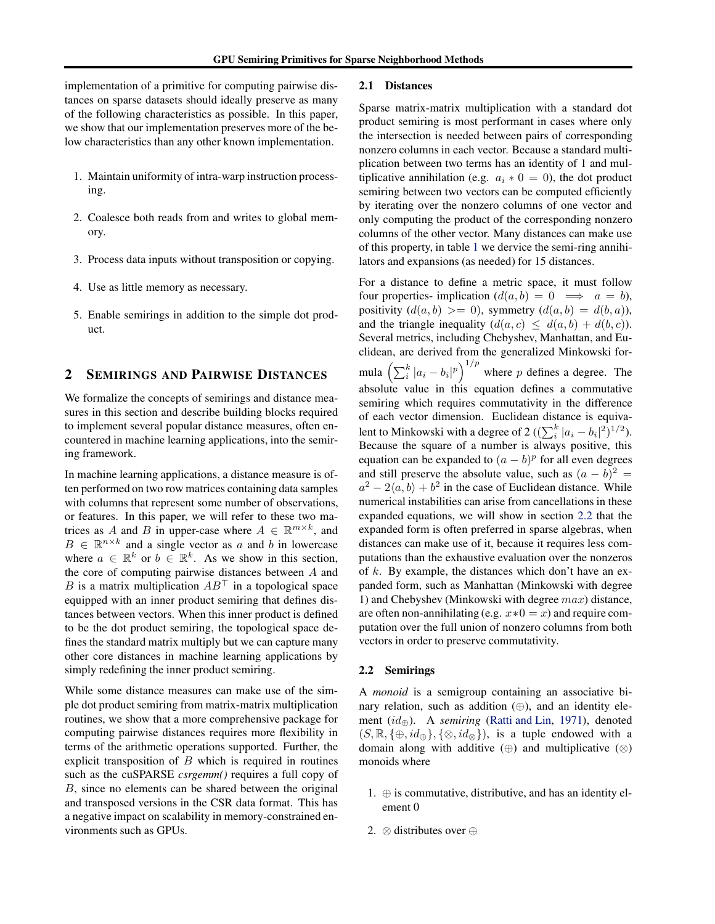<span id="page-1-0"></span>implementation of a primitive for computing pairwise distances on sparse datasets should ideally preserve as many of the following characteristics as possible. In this paper, we show that our implementation preserves more of the below characteristics than any other known implementation.

- 1. Maintain uniformity of intra-warp instruction processing.
- 2. Coalesce both reads from and writes to global memory.
- 3. Process data inputs without transposition or copying.
- 4. Use as little memory as necessary.
- 5. Enable semirings in addition to the simple dot product.

## 2 SEMIRINGS AND PAIRWISE DISTANCES

We formalize the concepts of semirings and distance measures in this section and describe building blocks required to implement several popular distance measures, often encountered in machine learning applications, into the semiring framework.

In machine learning applications, a distance measure is often performed on two row matrices containing data samples with columns that represent some number of observations, or features. In this paper, we will refer to these two matrices as A and B in upper-case where  $A \in \mathbb{R}^{m \times k}$ , and  $B \in \mathbb{R}^{n \times k}$  and a single vector as a and b in lowercase where  $a \in \mathbb{R}^k$  or  $b \in \mathbb{R}^k$ . As we show in this section, the core of computing pairwise distances between A and B is a matrix multiplication  $AB^{\top}$  in a topological space equipped with an inner product semiring that defines distances between vectors. When this inner product is defined to be the dot product semiring, the topological space defines the standard matrix multiply but we can capture many other core distances in machine learning applications by simply redefining the inner product semiring.

While some distance measures can make use of the simple dot product semiring from matrix-matrix multiplication routines, we show that a more comprehensive package for computing pairwise distances requires more flexibility in terms of the arithmetic operations supported. Further, the explicit transposition of  $B$  which is required in routines such as the cuSPARSE *csrgemm()* requires a full copy of B, since no elements can be shared between the original and transposed versions in the CSR data format. This has a negative impact on scalability in memory-constrained environments such as GPUs.

#### 2.1 Distances

Sparse matrix-matrix multiplication with a standard dot product semiring is most performant in cases where only the intersection is needed between pairs of corresponding nonzero columns in each vector. Because a standard multiplication between two terms has an identity of 1 and multiplicative annihilation (e.g.  $a_i * 0 = 0$ ), the dot product semiring between two vectors can be computed efficiently by iterating over the nonzero columns of one vector and only computing the product of the corresponding nonzero columns of the other vector. Many distances can make use of this property, in table [1](#page-2-0) we dervice the semi-ring annihilators and expansions (as needed) for 15 distances.

For a distance to define a metric space, it must follow four properties- implication  $(d(a, b) = 0 \implies a = b)$ , positivity  $(d(a, b) \ge 0)$ , symmetry  $(d(a, b) = d(b, a))$ , and the triangle inequality  $(d(a, c) \leq d(a, b) + d(b, c))$ . Several metrics, including Chebyshev, Manhattan, and Euclidean, are derived from the generalized Minkowski formula  $\left(\sum_{i}^{k} |a_i - b_i|^p\right)^{1/p}$  where p defines a degree. The absolute value in this equation defines a commutative semiring which requires commutativity in the difference of each vector dimension. Euclidean distance is equivalent to Minkowski with a degree of 2 ( $(\sum_{i}^{k} |a_i - b_i|^2)^{1/2}$ ). Because the square of a number is always positive, this equation can be expanded to  $(a - b)^p$  for all even degrees and still preserve the absolute value, such as  $(a - b)^2 =$  $a^2 - 2\langle a, b \rangle + b^2$  in the case of Euclidean distance. While numerical instabilities can arise from cancellations in these expanded equations, we will show in section 2.2 that the expanded form is often preferred in sparse algebras, when distances can make use of it, because it requires less computations than the exhaustive evaluation over the nonzeros of  $k$ . By example, the distances which don't have an expanded form, such as Manhattan (Minkowski with degree 1) and Chebyshev (Minkowski with degree  $max$ ) distance, are often non-annihilating (e.g.  $x*0 = x$ ) and require computation over the full union of nonzero columns from both vectors in order to preserve commutativity.

#### 2.2 Semirings

A *monoid* is a semigroup containing an associative binary relation, such as addition  $(\oplus)$ , and an identity element (id⊕). A *semiring* [\(Ratti and Lin](#page-11-0), [1971](#page-11-0)), denoted  $(S, \mathbb{R}, {\{\oplus, id_{\oplus}\}, {\{\otimes, id_{\otimes}\}}),$  is a tuple endowed with a domain along with additive  $(\oplus)$  and multiplicative  $(\otimes)$ monoids where

- 1.  $\oplus$  is commutative, distributive, and has an identity element 0
- 2. ⊗ distributes over ⊕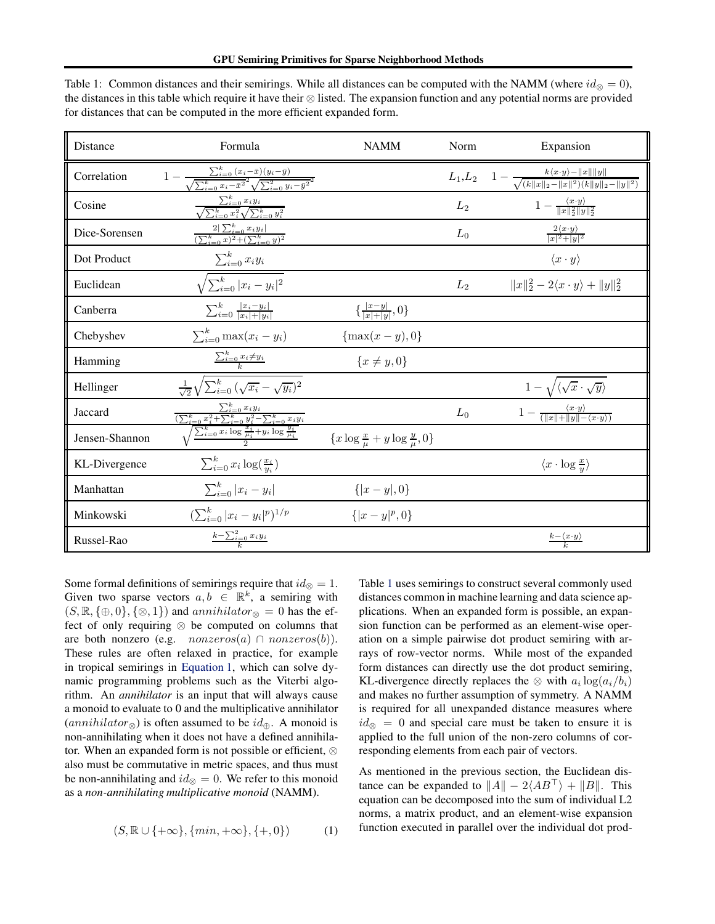| Distance       | Formula                                                                                                                                   | <b>NAMM</b>                                          | Norm           | Expansion                                                                                                   |  |  |
|----------------|-------------------------------------------------------------------------------------------------------------------------------------------|------------------------------------------------------|----------------|-------------------------------------------------------------------------------------------------------------|--|--|
| Correlation    | $1 - \frac{\sum_{i=0}^{k} (x_i - \bar{x})(y_i - \bar{y})}{\sqrt{\sum_{i=0}^{k} x_i - \bar{x}^2} \sqrt{\sum_{i=0}^{2} y_i - \bar{y}^2}^2}$ |                                                      | $L_1,L_2$      | $1 - \frac{k \langle x \cdot y \rangle - \ x\  \ y\ }{\sqrt{ (k \ x\ _2 - \ x\ ^2) (k \ y\ _2 - \ y\ ^2)}}$ |  |  |
| Cosine         | $\frac{\sum_{i=0}^{k} x_i y_i}{\sqrt{\sum_{i=0}^{k} x_i^2} \sqrt{\sum_{i=0}^{k} y_i^2}}$                                                  |                                                      | $L_2$          | $1-\frac{\langle x\cdot y\rangle}{\ x\ _2^2\ y\ _2^2}$                                                      |  |  |
| Dice-Sorensen  | $\frac{2 \sum_{i=0}^k x_i y_i }{(\sum_{i=0}^k x)^2 + (\sum_{i=0}^k y)^2}$                                                                 |                                                      | $L_0$          | $\frac{2\langle x\cdot y\rangle}{ x ^2+ y ^2}$                                                              |  |  |
| Dot Product    | $\sum_{i=0}^{k} x_i y_i$                                                                                                                  |                                                      |                | $\langle x \cdot y \rangle$                                                                                 |  |  |
| Euclidean      | $\sqrt{\sum_{i=0}^{k}  x_i - y_i ^2}$                                                                                                     |                                                      | L <sub>2</sub> | $  x  _2^2 - 2\langle x \cdot y \rangle +   y  _2^2$                                                        |  |  |
| Canberra       | $\sum_{i=0}^{k} \frac{ x_i-y_i }{ x_i + y_i }$                                                                                            | $\{\frac{ x-y }{ x + y },0\}$                        |                |                                                                                                             |  |  |
| Chebyshev      | $\sum_{i=0}^{k} \max(x_i - y_i)$                                                                                                          | $\{\max(x-y),0\}$                                    |                |                                                                                                             |  |  |
| Hamming        | $\sum_{i=0}^{k} x_i \neq y_i$                                                                                                             | $\{x \neq y, 0\}$                                    |                |                                                                                                             |  |  |
| Hellinger      | $\frac{1}{\sqrt{2}}\sqrt{\sum_{i=0}^{k}(\sqrt{x_i}-\sqrt{y_i})^2}$                                                                        |                                                      |                | $1-\sqrt{\langle \sqrt{x} \cdot \sqrt{y} \rangle}$                                                          |  |  |
| Jaccard        | $\frac{\sum_{i=0}^{k} x_i y_i}{(\sum_{i=0}^{k} x_i^2 + \sum_{i=0}^{k} y_i^2 - \sum_{i=0}^{k} x_i y_i)}$                                   |                                                      | $L_0$          | $1-\frac{\langle x\cdot y\rangle}{(\ x\ +\ y\ -\langle x\cdot y\rangle)}$                                   |  |  |
| Jensen-Shannon | $\sqrt{\sum_{i=0}^{k} x_i \log \frac{x_i}{\mu_i}} + y_i \log \frac{y_i}{\mu_i}$                                                           | $\{x \log \frac{x}{\mu} + y \log \frac{y}{\mu}, 0\}$ |                |                                                                                                             |  |  |
| KL-Divergence  | $\sum_{i=0}^k x_i \log(\frac{x_i}{y_i})$                                                                                                  |                                                      |                | $\langle x \cdot \log \frac{x}{y} \rangle$                                                                  |  |  |
| Manhattan      | $\sum_{i=0}^{k}  x_i - y_i $                                                                                                              | $\{ x-y ,0\}$                                        |                |                                                                                                             |  |  |
| Minkowski      | $\left(\sum_{i=0}^{k}  x_i - y_i ^p\right)^{1/p}$                                                                                         | $\{ x-y ^p,0\}$                                      |                |                                                                                                             |  |  |
| Russel-Rao     | $k-\sum_{i=0}^{2}x_iy_i$                                                                                                                  |                                                      |                | $rac{k-\langle x\cdot y\rangle}{k}$                                                                         |  |  |

<span id="page-2-0"></span>Table 1: Common distances and their semirings. While all distances can be computed with the NAMM (where  $id_{\otimes} = 0$ ), the distances in this table which require it have their ⊗ listed. The expansion function and any potential norms are provided for distances that can be computed in the more efficient expanded form.

Some formal definitions of semirings require that  $id_{\otimes} = 1$ . Given two sparse vectors  $a, b \in \mathbb{R}^k$ , a semiring with  $(S, \mathbb{R}, \{\oplus, 0\}, \{\otimes, 1\})$  and  $annihilator_{\otimes} = 0$  has the effect of only requiring ⊗ be computed on columns that are both nonzero (e.g.  $nonzeros(a) \cap nonzeros(b)$ ). These rules are often relaxed in practice, for example in tropical semirings in Equation 1, which can solve dynamic programming problems such as the Viterbi algorithm. An *annihilator* is an input that will always cause a monoid to evaluate to 0 and the multiplicative annihilator  $(annihilator_{\otimes})$  is often assumed to be  $id_{\oplus}$ . A monoid is non-annihilating when it does not have a defined annihilator. When an expanded form is not possible or efficient, ⊗ also must be commutative in metric spaces, and thus must be non-annihilating and  $id_{\otimes} = 0$ . We refer to this monoid as a *non-annihilating multiplicative monoid* (NAMM).

$$
(S,\mathbb{R}\cup\{+\infty\},\{min,+\infty\},\{+,0\})\qquad \quad (1)
$$

Table 1 uses semirings to construct several commonly used distances common in machine learning and data science applications. When an expanded form is possible, an expansion function can be performed as an element-wise operation on a simple pairwise dot product semiring with arrays of row-vector norms. While most of the expanded form distances can directly use the dot product semiring, KL-divergence directly replaces the  $\otimes$  with  $a_i \log(a_i/b_i)$ and makes no further assumption of symmetry. A NAMM is required for all unexpanded distance measures where  $id_{\infty} = 0$  and special care must be taken to ensure it is applied to the full union of the non-zero columns of corresponding elements from each pair of vectors.

As mentioned in the previous section, the Euclidean distance can be expanded to  $||A|| - 2\langle AB^{\top} \rangle + ||B||$ . This equation can be decomposed into the sum of individual L2 norms, a matrix product, and an element-wise expansion function executed in parallel over the individual dot prod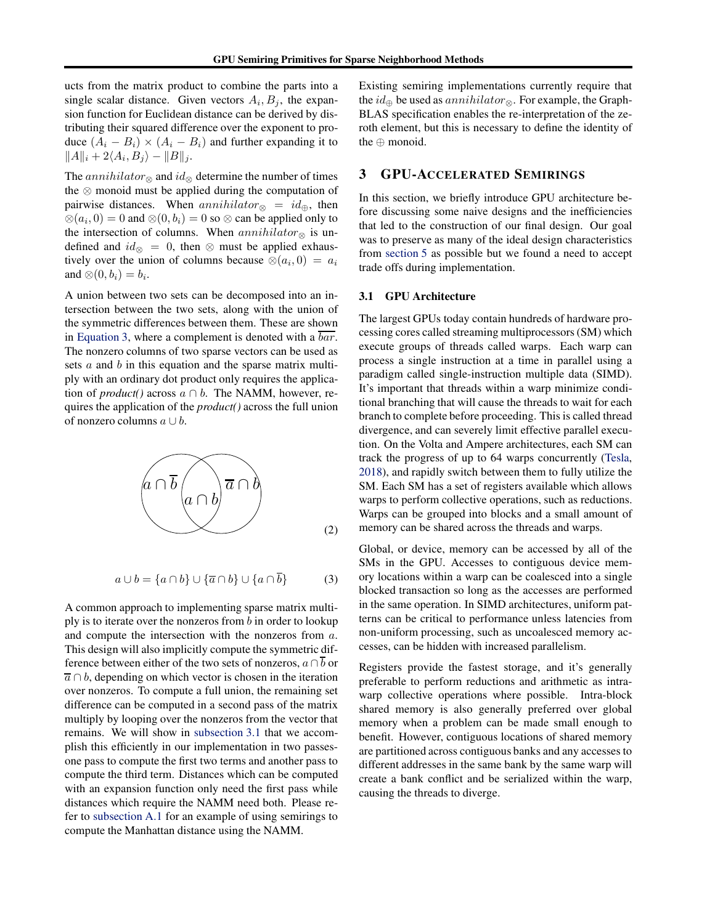<span id="page-3-0"></span>ucts from the matrix product to combine the parts into a single scalar distance. Given vectors  $A_i, B_j$ , the expansion function for Euclidean distance can be derived by distributing their squared difference over the exponent to produce  $(A_i - B_i) \times (A_i - B_i)$  and further expanding it to  $||A||_i + 2\langle A_i, B_j \rangle - ||B||_j.$ 

The *annihilator*<sup>⊗</sup> and  $id$ <sup>⊗</sup> determine the number of times the ⊗ monoid must be applied during the computation of pairwise distances. When  $annihilator_{\otimes} = id_{\oplus}$ , then  $\otimes$ ( $a_i$ , 0) = 0 and  $\otimes$ (0,  $b_i$ ) = 0 so  $\otimes$  can be applied only to the intersection of columns. When annihilator<sup>®</sup> is undefined and  $id_{\otimes} = 0$ , then  $\otimes$  must be applied exhaustively over the union of columns because  $\otimes (a_i, 0) = a_i$ and  $\otimes$   $(0, b_i) = b_i$ .

A union between two sets can be decomposed into an intersection between the two sets, along with the union of the symmetric differences between them. These are shown in Equation 3, where a complement is denoted with a bar. The nonzero columns of two sparse vectors can be used as sets  $a$  and  $b$  in this equation and the sparse matrix multiply with an ordinary dot product only requires the application of *product*() across  $a \cap b$ . The NAMM, however, requires the application of the *product()* across the full union of nonzero columns  $a \cup b$ .



$$
a \cup b = \{a \cap b\} \cup \{\overline{a} \cap b\} \cup \{a \cap \overline{b}\}\tag{3}
$$

A common approach to implementing sparse matrix multiply is to iterate over the nonzeros from  $b$  in order to lookup and compute the intersection with the nonzeros from a. This design will also implicitly compute the symmetric difference between either of the two sets of nonzeros,  $a \cap \overline{b}$  or  $\overline{a} \cap b$ , depending on which vector is chosen in the iteration over nonzeros. To compute a full union, the remaining set difference can be computed in a second pass of the matrix multiply by looping over the nonzeros from the vector that remains. We will show in subsection 3.1 that we accomplish this efficiently in our implementation in two passesone pass to compute the first two terms and another pass to compute the third term. Distances which can be computed with an expansion function only need the first pass while distances which require the NAMM need both. Please refer to [subsection A.1](#page-13-0) for an example of using semirings to compute the Manhattan distance using the NAMM.

Existing semiring implementations currently require that the  $id_{\oplus}$  be used as *annihilator*<sub>⊗</sub>. For example, the Graph-BLAS specification enables the re-interpretation of the zeroth element, but this is necessary to define the identity of the ⊕ monoid.

## 3 GPU-ACCELERATED SEMIRINGS

In this section, we briefly introduce GPU architecture before discussing some naive designs and the inefficiencies that led to the construction of our final design. Our goal was to preserve as many of the ideal design characteristics from [section 5](#page-8-0) as possible but we found a need to accept trade offs during implementation.

#### 3.1 GPU Architecture

The largest GPUs today contain hundreds of hardware processing cores called streaming multiprocessors (SM) which execute groups of threads called warps. Each warp can process a single instruction at a time in parallel using a paradigm called single-instruction multiple data (SIMD). It's important that threads within a warp minimize conditional branching that will cause the threads to wait for each branch to complete before proceeding. This is called thread divergence, and can severely limit effective parallel execution. On the Volta and Ampere architectures, each SM can track the progress of up to 64 warps concurrently [\(Tesla,](#page-12-0) [2018\)](#page-12-0), and rapidly switch between them to fully utilize the SM. Each SM has a set of registers available which allows warps to perform collective operations, such as reductions. Warps can be grouped into blocks and a small amount of memory can be shared across the threads and warps.

Global, or device, memory can be accessed by all of the SMs in the GPU. Accesses to contiguous device memory locations within a warp can be coalesced into a single blocked transaction so long as the accesses are performed in the same operation. In SIMD architectures, uniform patterns can be critical to performance unless latencies from non-uniform processing, such as uncoalesced memory accesses, can be hidden with increased parallelism.

Registers provide the fastest storage, and it's generally preferable to perform reductions and arithmetic as intrawarp collective operations where possible. Intra-block shared memory is also generally preferred over global memory when a problem can be made small enough to benefit. However, contiguous locations of shared memory are partitioned across contiguous banks and any accesses to different addresses in the same bank by the same warp will create a bank conflict and be serialized within the warp, causing the threads to diverge.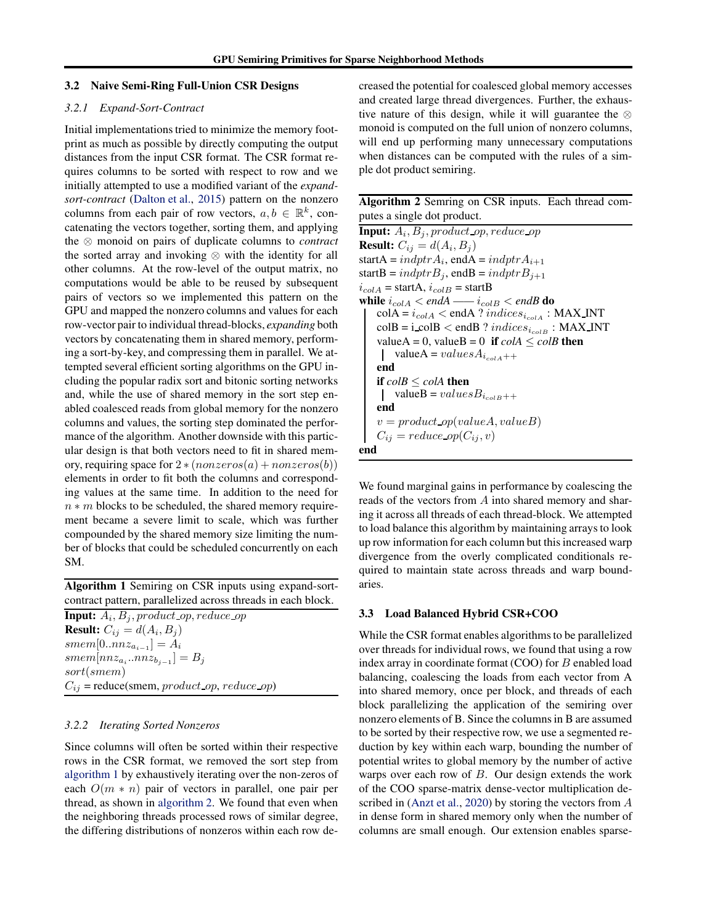#### <span id="page-4-0"></span>3.2 Naive Semi-Ring Full-Union CSR Designs

### *3.2.1 Expand-Sort-Contract*

Initial implementations tried to minimize the memory footprint as much as possible by directly computing the output distances from the input CSR format. The CSR format requires columns to be sorted with respect to row and we initially attempted to use a modified variant of the *expandsort-contract* [\(Dalton et al.](#page-10-0), [2015\)](#page-10-0) pattern on the nonzero columns from each pair of row vectors,  $a, b \in \mathbb{R}^k$ , concatenating the vectors together, sorting them, and applying the ⊗ monoid on pairs of duplicate columns to *contract* the sorted array and invoking ⊗ with the identity for all other columns. At the row-level of the output matrix, no computations would be able to be reused by subsequent pairs of vectors so we implemented this pattern on the GPU and mapped the nonzero columns and values for each row-vector pair to individual thread-blocks, *expanding* both vectors by concatenating them in shared memory, performing a sort-by-key, and compressing them in parallel. We attempted several efficient sorting algorithms on the GPU including the popular radix sort and bitonic sorting networks and, while the use of shared memory in the sort step enabled coalesced reads from global memory for the nonzero columns and values, the sorting step dominated the performance of the algorithm. Another downside with this particular design is that both vectors need to fit in shared memory, requiring space for  $2 * (nonzeros(a) + nonzeros(b))$ elements in order to fit both the columns and corresponding values at the same time. In addition to the need for  $n * m$  blocks to be scheduled, the shared memory requirement became a severe limit to scale, which was further compounded by the shared memory size limiting the number of blocks that could be scheduled concurrently on each SM.

Algorithm 1 Semiring on CSR inputs using expand-sortcontract pattern, parallelized across threads in each block.

**Input:**  $A_i$ ,  $B_j$ , product\_op, reduce\_op **Result:**  $C_{ij} = d(A_i, B_j)$  $smem[0..nnz_{a_{i-1}}]=A_i$  $smem[nnz_{a_i}..nnz_{b_{j-1}}]=B_j$ sort(smem)  $C_{ij}$  = reduce(smem, product\_op, reduce\_op)

### *3.2.2 Iterating Sorted Nonzeros*

Since columns will often be sorted within their respective rows in the CSR format, we removed the sort step from algorithm 1 by exhaustively iterating over the non-zeros of each  $O(m * n)$  pair of vectors in parallel, one pair per thread, as shown in algorithm 2. We found that even when the neighboring threads processed rows of similar degree, the differing distributions of nonzeros within each row decreased the potential for coalesced global memory accesses and created large thread divergences. Further, the exhaustive nature of this design, while it will guarantee the  $\otimes$ monoid is computed on the full union of nonzero columns, will end up performing many unnecessary computations when distances can be computed with the rules of a simple dot product semiring.

| Algorithm 2 Semring on CSR inputs. Each thread com- |  |
|-----------------------------------------------------|--|
| putes a single dot product.                         |  |

**Input:**  $A_i$ ,  $B_j$ ,  $product\_op$ ,  $reduce\_op$ **Result:**  $C_{ij} = d(A_i, B_j)$ startA =  $indptrA_i$ , endA =  $indptrA_{i+1}$ startB =  $indptrB_j$ , endB =  $indptrB_{j+1}$  $i_{cold}$  = startA,  $i_{cold}$  = startB while  $i_{cold} < endA$  ——  $i_{cold} < endB$  do  $\text{colA} = i_{cold} < \text{endA}$  ? indices<sub>icolA</sub> : MAX INT  $\text{collB} = \text{i} \text{collB} < \text{endB} ? indices_{i_{\text{colB}}} : \text{MAX\_INT}$ valueA = 0, valueB = 0 if  $\text{colA} \leq \text{colB}$  then valueA =  $valuesA_{i_{colA++}}$ end if *colB* ≤ *colA* then valueB =  $valuesB_{i_{\text{col}}B++}$ end  $v = product\_op(valueA, valueB)$  $C_{ij}$  = reduce  $op(C_{ij}, v)$ end

We found marginal gains in performance by coalescing the reads of the vectors from A into shared memory and sharing it across all threads of each thread-block. We attempted to load balance this algorithm by maintaining arrays to look up row information for each column but this increased warp divergence from the overly complicated conditionals required to maintain state across threads and warp boundaries.

### 3.3 Load Balanced Hybrid CSR+COO

While the CSR format enables algorithms to be parallelized over threads for individual rows, we found that using a row index array in coordinate format  $(COO)$  for  $B$  enabled load balancing, coalescing the loads from each vector from A into shared memory, once per block, and threads of each block parallelizing the application of the semiring over nonzero elements of B. Since the columns in B are assumed to be sorted by their respective row, we use a segmented reduction by key within each warp, bounding the number of potential writes to global memory by the number of active warps over each row of  $B$ . Our design extends the work of the COO sparse-matrix dense-vector multiplication de-scribed in [\(Anzt et al.](#page-10-0), [2020](#page-10-0)) by storing the vectors from A in dense form in shared memory only when the number of columns are small enough. Our extension enables sparse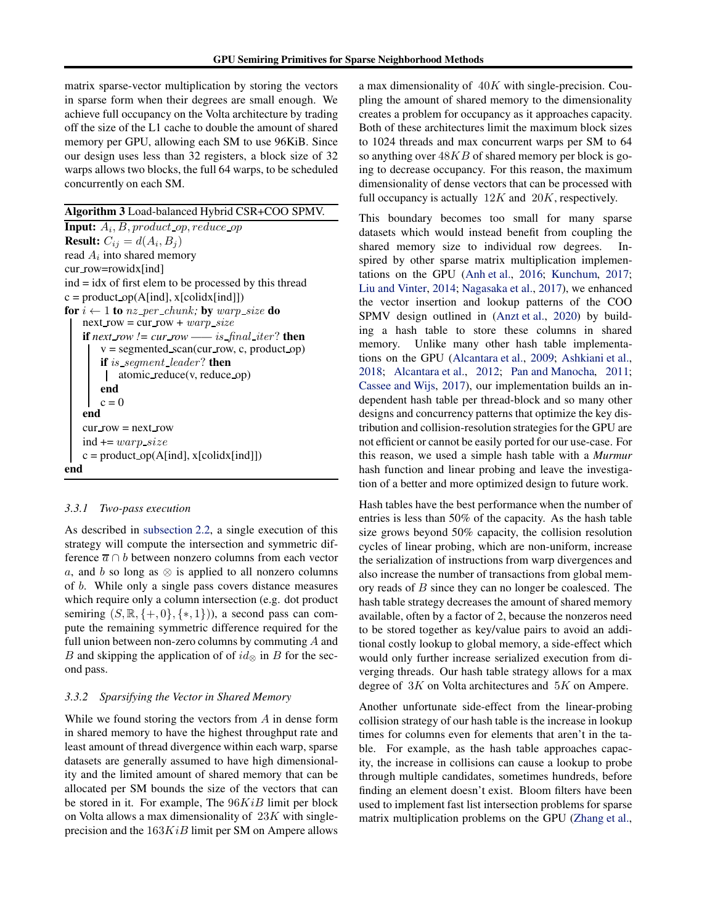matrix sparse-vector multiplication by storing the vectors in sparse form when their degrees are small enough. We achieve full occupancy on the Volta architecture by trading off the size of the L1 cache to double the amount of shared memory per GPU, allowing each SM to use 96KiB. Since our design uses less than 32 registers, a block size of 32 warps allows two blocks, the full 64 warps, to be scheduled concurrently on each SM.

#### Algorithm 3 Load-balanced Hybrid CSR+COO SPMV.

**Input:**  $A_i$ ,  $B$ ,  $product$ <sub>-op</sub>,  $reduce$ <sub>-op</sub> **Result:**  $C_{ij} = d(A_i, B_j)$ read  $A_i$  into shared memory cur row=rowidx[ind] ind = idx of first elem to be processed by this thread  $c = product_op(A[ind], x[colidx[ind]])$ for  $i \leftarrow 1$  to nz\_per\_chunk; by warp\_size do next row = cur row +  $warp\_size$ **if** next row != cur row —— is final iter? **then**  $v =$  segmented\_scan(cur\_row, c, product\_op) if is segment leader? then  $\mathbf{I}$ atomic reduce(v, reduce op) end  $c = 0$ end  $cur_{row} = next_{row}$ ind  $+= warp_size$  $c = product_op(A[ind], x[colidx[ind]])$ end

#### *3.3.1 Two-pass execution*

As described in [subsection 2.2,](#page-1-0) a single execution of this strategy will compute the intersection and symmetric difference  $\overline{a} \cap b$  between nonzero columns from each vector a, and b so long as  $\otimes$  is applied to all nonzero columns of b. While only a single pass covers distance measures which require only a column intersection (e.g. dot product semiring  $(S, \mathbb{R}, \{+, 0\}, \{*, 1\})$ , a second pass can compute the remaining symmetric difference required for the full union between non-zero columns by commuting A and B and skipping the application of of  $id_{\otimes}$  in B for the second pass.

#### *3.3.2 Sparsifying the Vector in Shared Memory*

While we found storing the vectors from A in dense form in shared memory to have the highest throughput rate and least amount of thread divergence within each warp, sparse datasets are generally assumed to have high dimensionality and the limited amount of shared memory that can be allocated per SM bounds the size of the vectors that can be stored in it. For example, The  $96KiB$  limit per block on Volta allows a max dimensionality of  $23K$  with singleprecision and the  $163KiB$  limit per SM on Ampere allows

a max dimensionality of  $40K$  with single-precision. Coupling the amount of shared memory to the dimensionality creates a problem for occupancy as it approaches capacity. Both of these architectures limit the maximum block sizes to 1024 threads and max concurrent warps per SM to 64 so anything over  $48KB$  of shared memory per block is going to decrease occupancy. For this reason, the maximum dimensionality of dense vectors that can be processed with full occupancy is actually  $12K$  and  $20K$ , respectively.

This boundary becomes too small for many sparse datasets which would instead benefit from coupling the shared memory size to individual row degrees. Inspired by other sparse matrix multiplication implementations on the GPU [\(Anh et al.,](#page-10-0) [2016;](#page-10-0) [Kunchum,](#page-11-0) [2017;](#page-11-0) [Liu and Vinter,](#page-11-0) [2014;](#page-11-0) [Nagasaka et al.](#page-11-0), [2017\)](#page-11-0), we enhanced the vector insertion and lookup patterns of the COO SPMV design outlined in [\(Anzt et al.](#page-10-0), [2020](#page-10-0)) by building a hash table to store these columns in shared memory. Unlike many other hash table implementations on the GPU [\(Alcantara et al.](#page-9-0), [2009;](#page-9-0) [Ashkiani et al.,](#page-10-0) [2018;](#page-10-0) [Alcantara et al.](#page-10-0), [2012;](#page-10-0) [Pan and Manocha,](#page-11-0) [2011;](#page-11-0) [Cassee and Wijs,](#page-10-0) [2017\)](#page-10-0), our implementation builds an independent hash table per thread-block and so many other designs and concurrency patterns that optimize the key distribution and collision-resolution strategies for the GPU are not efficient or cannot be easily ported for our use-case. For this reason, we used a simple hash table with a *Murmur* hash function and linear probing and leave the investigation of a better and more optimized design to future work.

Hash tables have the best performance when the number of entries is less than 50% of the capacity. As the hash table size grows beyond 50% capacity, the collision resolution cycles of linear probing, which are non-uniform, increase the serialization of instructions from warp divergences and also increase the number of transactions from global memory reads of B since they can no longer be coalesced. The hash table strategy decreases the amount of shared memory available, often by a factor of 2, because the nonzeros need to be stored together as key/value pairs to avoid an additional costly lookup to global memory, a side-effect which would only further increase serialized execution from diverging threads. Our hash table strategy allows for a max degree of 3K on Volta architectures and 5K on Ampere.

Another unfortunate side-effect from the linear-probing collision strategy of our hash table is the increase in lookup times for columns even for elements that aren't in the table. For example, as the hash table approaches capacity, the increase in collisions can cause a lookup to probe through multiple candidates, sometimes hundreds, before finding an element doesn't exist. Bloom filters have been used to implement fast list intersection problems for sparse matrix multiplication problems on the GPU [\(Zhang et al.,](#page-12-0)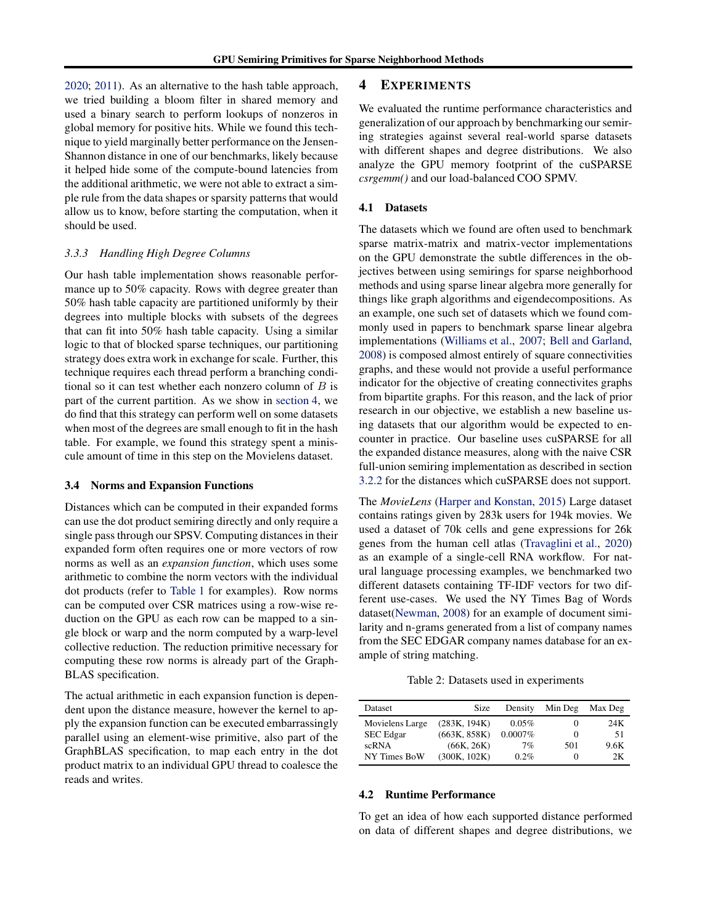[2020;](#page-12-0) [2011\)](#page-12-0). As an alternative to the hash table approach, we tried building a bloom filter in shared memory and used a binary search to perform lookups of nonzeros in global memory for positive hits. While we found this technique to yield marginally better performance on the Jensen-Shannon distance in one of our benchmarks, likely because it helped hide some of the compute-bound latencies from the additional arithmetic, we were not able to extract a simple rule from the data shapes or sparsity patterns that would allow us to know, before starting the computation, when it should be used.

### *3.3.3 Handling High Degree Columns*

Our hash table implementation shows reasonable performance up to 50% capacity. Rows with degree greater than 50% hash table capacity are partitioned uniformly by their degrees into multiple blocks with subsets of the degrees that can fit into 50% hash table capacity. Using a similar logic to that of blocked sparse techniques, our partitioning strategy does extra work in exchange for scale. Further, this technique requires each thread perform a branching conditional so it can test whether each nonzero column of  $B$  is part of the current partition. As we show in section 4, we do find that this strategy can perform well on some datasets when most of the degrees are small enough to fit in the hash table. For example, we found this strategy spent a miniscule amount of time in this step on the Movielens dataset.

#### 3.4 Norms and Expansion Functions

Distances which can be computed in their expanded forms can use the dot product semiring directly and only require a single pass through our SPSV. Computing distances in their expanded form often requires one or more vectors of row norms as well as an *expansion function*, which uses some arithmetic to combine the norm vectors with the individual dot products (refer to [Table 1](#page-2-0) for examples). Row norms can be computed over CSR matrices using a row-wise reduction on the GPU as each row can be mapped to a single block or warp and the norm computed by a warp-level collective reduction. The reduction primitive necessary for computing these row norms is already part of the Graph-BLAS specification.

The actual arithmetic in each expansion function is dependent upon the distance measure, however the kernel to apply the expansion function can be executed embarrassingly parallel using an element-wise primitive, also part of the GraphBLAS specification, to map each entry in the dot product matrix to an individual GPU thread to coalesce the reads and writes.

### 4 EXPERIMENTS

We evaluated the runtime performance characteristics and generalization of our approach by benchmarking our semiring strategies against several real-world sparse datasets with different shapes and degree distributions. We also analyze the GPU memory footprint of the cuSPARSE *csrgemm()* and our load-balanced COO SPMV.

### 4.1 Datasets

The datasets which we found are often used to benchmark sparse matrix-matrix and matrix-vector implementations on the GPU demonstrate the subtle differences in the objectives between using semirings for sparse neighborhood methods and using sparse linear algebra more generally for things like graph algorithms and eigendecompositions. As an example, one such set of datasets which we found commonly used in papers to benchmark sparse linear algebra implementations [\(Williams et al.,](#page-12-0) [2007;](#page-12-0) [Bell and Garland,](#page-10-0) [2008\)](#page-10-0) is composed almost entirely of square connectivities graphs, and these would not provide a useful performance indicator for the objective of creating connectivites graphs from bipartite graphs. For this reason, and the lack of prior research in our objective, we establish a new baseline using datasets that our algorithm would be expected to encounter in practice. Our baseline uses cuSPARSE for all the expanded distance measures, along with the naive CSR full-union semiring implementation as described in section [3.2.2](#page-4-0) for the distances which cuSPARSE does not support.

The *MovieLens* [\(Harper and Konstan,](#page-10-0) [2015\)](#page-10-0) Large dataset contains ratings given by 283k users for 194k movies. We used a dataset of 70k cells and gene expressions for 26k genes from the human cell atlas [\(Travaglini et al.,](#page-12-0) [2020](#page-12-0)) as an example of a single-cell RNA workflow. For natural language processing examples, we benchmarked two different datasets containing TF-IDF vectors for two different use-cases. We used the NY Times Bag of Words dataset[\(Newman](#page-11-0), [2008](#page-11-0)) for an example of document similarity and n-grams generated from a list of company names from the SEC EDGAR company names database for an example of string matching.

Table 2: Datasets used in experiments

| Dataset         | Size         | Density    | Min Deg           | Max Deg |
|-----------------|--------------|------------|-------------------|---------|
| Movielens Large | (283K, 194K) | 0.05%      | 0                 | 24K     |
| SEC Edgar       | (663K, 858K) | $0.0007\%$ | $\mathbf{\Omega}$ | 51      |
| scRNA           | (66K, 26K)   | 7%         | 501               | 9.6K    |
| NY Times BoW    | (300K, 102K) | 0.2%       |                   | 2Κ      |

### 4.2 Runtime Performance

To get an idea of how each supported distance performed on data of different shapes and degree distributions, we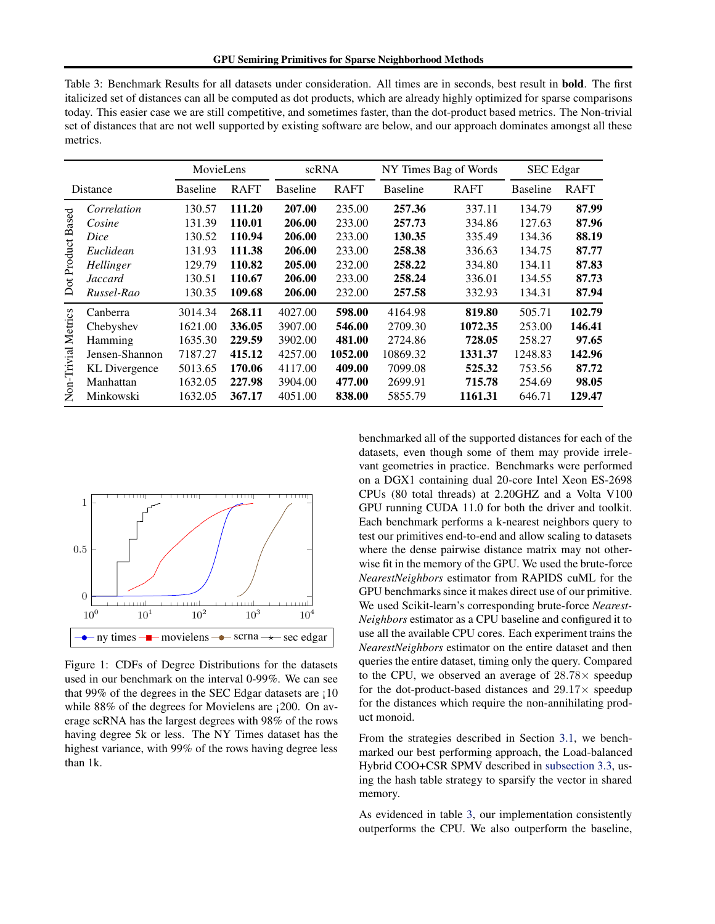| meutes.                      |                      |                 |             |                 |                       |                 |             |                 |             |
|------------------------------|----------------------|-----------------|-------------|-----------------|-----------------------|-----------------|-------------|-----------------|-------------|
|                              | MovieLens            |                 | scRNA       |                 | NY Times Bag of Words |                 | SEC Edgar   |                 |             |
| Distance                     |                      | <b>Baseline</b> | <b>RAFT</b> | <b>Baseline</b> | <b>RAFT</b>           | <b>Baseline</b> | <b>RAFT</b> | <b>Baseline</b> | <b>RAFT</b> |
| ot Product Based<br>$\Delta$ | Correlation          | 130.57          | 111.20      | 207.00          | 235.00                | 257.36          | 337.11      | 134.79          | 87.99       |
|                              | Cosine               | 131.39          | 110.01      | 206.00          | 233.00                | 257.73          | 334.86      | 127.63          | 87.96       |
|                              | Dice                 | 130.52          | 110.94      | 206.00          | 233.00                | 130.35          | 335.49      | 134.36          | 88.19       |
|                              | Euclidean            | 131.93          | 111.38      | 206.00          | 233.00                | 258.38          | 336.63      | 134.75          | 87.77       |
|                              | Hellinger            | 129.79          | 110.82      | 205.00          | 232.00                | 258.22          | 334.80      | 134.11          | 87.83       |
|                              | <b>Jaccard</b>       | 130.51          | 110.67      | 206.00          | 233.00                | 258.24          | 336.01      | 134.55          | 87.73       |
|                              | Russel-Rao           | 130.35          | 109.68      | 206.00          | 232.00                | 257.58          | 332.93      | 134.31          | 87.94       |
| Non-Trivial Metrics          | Canberra             | 3014.34         | 268.11      | 4027.00         | 598.00                | 4164.98         | 819.80      | 505.71          | 102.79      |
|                              | Chebyshev            | 1621.00         | 336.05      | 3907.00         | 546.00                | 2709.30         | 1072.35     | 253.00          | 146.41      |
|                              | Hamming              | 1635.30         | 229.59      | 3902.00         | 481.00                | 2724.86         | 728.05      | 258.27          | 97.65       |
|                              | Jensen-Shannon       | 7187.27         | 415.12      | 4257.00         | 1052.00               | 10869.32        | 1331.37     | 1248.83         | 142.96      |
|                              | <b>KL</b> Divergence | 5013.65         | 170.06      | 4117.00         | 409.00                | 7099.08         | 525.32      | 753.56          | 87.72       |
|                              | Manhattan            | 1632.05         | 227.98      | 3904.00         | 477.00                | 2699.91         | 715.78      | 254.69          | 98.05       |
|                              | Minkowski            | 1632.05         | 367.17      | 4051.00         | 838.00                | 5855.79         | 1161.31     | 646.71          | 129.47      |

Table 3: Benchmark Results for all datasets under consideration. All times are in seconds, best result in bold. The first italicized set of distances can all be computed as dot products, which are already highly optimized for sparse comparisons today. This easier case we are still competitive, and sometimes faster, than the dot-product based metrics. The Non-trivial set of distances that are not well supported by existing software are below, and our approach dominates amongst all these motrice



Figure 1: CDFs of Degree Distributions for the datasets used in our benchmark on the interval 0-99%. We can see that 99% of the degrees in the SEC Edgar datasets are ¡10 while 88% of the degrees for Movielens are  $\mu$  200. On average scRNA has the largest degrees with 98% of the rows having degree 5k or less. The NY Times dataset has the highest variance, with 99% of the rows having degree less than 1k.

benchmarked all of the supported distances for each of the datasets, even though some of them may provide irrelevant geometries in practice. Benchmarks were performed on a DGX1 containing dual 20-core Intel Xeon ES-2698 CPUs (80 total threads) at 2.20GHZ and a Volta V100 GPU running CUDA 11.0 for both the driver and toolkit. Each benchmark performs a k-nearest neighbors query to test our primitives end-to-end and allow scaling to datasets where the dense pairwise distance matrix may not otherwise fit in the memory of the GPU. We used the brute-force *NearestNeighbors* estimator from RAPIDS cuML for the GPU benchmarks since it makes direct use of our primitive. We used Scikit-learn's corresponding brute-force *Nearest-Neighbors* estimator as a CPU baseline and configured it to use all the available CPU cores. Each experiment trains the *NearestNeighbors* estimator on the entire dataset and then queries the entire dataset, timing only the query. Compared to the CPU, we observed an average of  $28.78\times$  speedup for the dot-product-based distances and  $29.17\times$  speedup for the distances which require the non-annihilating product monoid.

From the strategies described in Section [3.1,](#page-3-0) we benchmarked our best performing approach, the Load-balanced Hybrid COO+CSR SPMV described in [subsection 3.3,](#page-4-0) using the hash table strategy to sparsify the vector in shared memory.

As evidenced in table 3, our implementation consistently outperforms the CPU. We also outperform the baseline,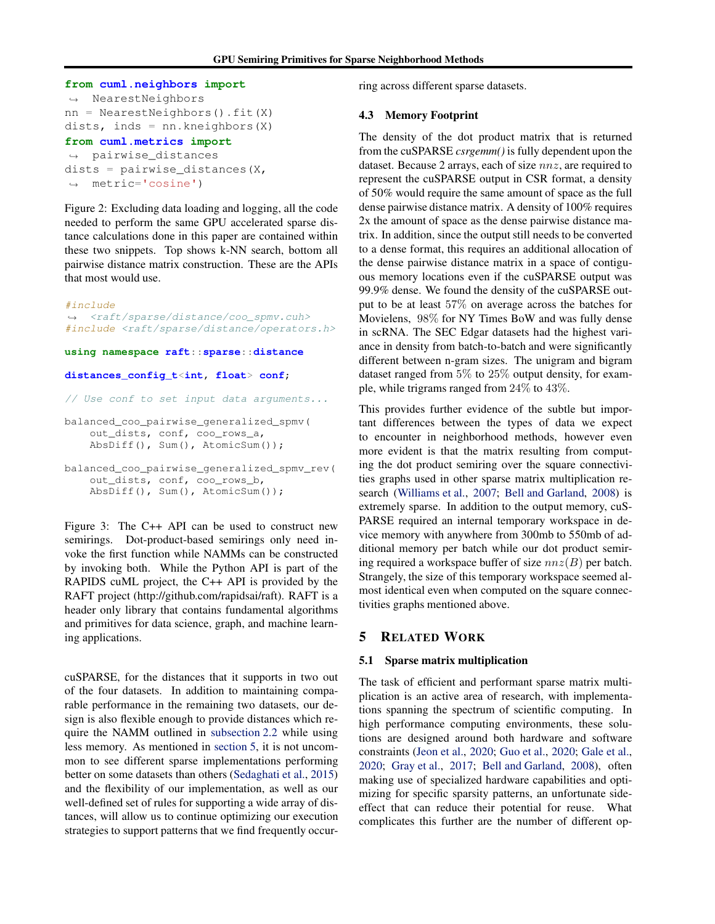```
from cuml.neighbors import
֒→ NearestNeighbors
nn = NearestNeighbors().fit(X)
dists, inds = nn.kneighbors(X)from cuml.metrics import
֒→ pairwise_distances
```
dists =  $pairwise\_distance(s, X, Y)$ ֒<sup>→</sup> metric='cosine')

Figure 2: Excluding data loading and logging, all the code needed to perform the same GPU accelerated sparse distance calculations done in this paper are contained within these two snippets. Top shows k-NN search, bottom all pairwise distance matrix construction. These are the APIs that most would use.

#### #include

֒<sup>→</sup> <raft/sparse/distance/coo\_spmv.cuh> #include <raft/sparse/distance/operators.h>

**using namespace raft**::**sparse**::**distance**

#### **distances\_config\_t**<**int**, **float**> **conf**;

// Use conf to set input data arguments...

```
balanced_coo_pairwise_generalized_spmv(
    out_dists, conf, coo_rows_a,
   AbsDiff(), Sum(), AtomicSum());
```

```
balanced_coo_pairwise_generalized_spmv_rev(
    out_dists, conf, coo_rows_b,
   AbsDiff(), Sum(), AtomicSum());
```
Figure 3: The C++ API can be used to construct new semirings. Dot-product-based semirings only need invoke the first function while NAMMs can be constructed by invoking both. While the Python API is part of the RAPIDS cuML project, the C++ API is provided by the RAFT project (http://github.com/rapidsai/raft). RAFT is a header only library that contains fundamental algorithms and primitives for data science, graph, and machine learning applications.

cuSPARSE, for the distances that it supports in two out of the four datasets. In addition to maintaining comparable performance in the remaining two datasets, our design is also flexible enough to provide distances which require the NAMM outlined in [subsection 2.2](#page-1-0) while using less memory. As mentioned in section 5, it is not uncommon to see different sparse implementations performing better on some datasets than others [\(Sedaghati et al.](#page-11-0), [2015](#page-11-0)) and the flexibility of our implementation, as well as our well-defined set of rules for supporting a wide array of distances, will allow us to continue optimizing our execution strategies to support patterns that we find frequently occurring across different sparse datasets.

#### 4.3 Memory Footprint

The density of the dot product matrix that is returned from the cuSPARSE *csrgemm()* is fully dependent upon the dataset. Because 2 arrays, each of size nnz, are required to represent the cuSPARSE output in CSR format, a density of 50% would require the same amount of space as the full dense pairwise distance matrix. A density of 100% requires 2x the amount of space as the dense pairwise distance matrix. In addition, since the output still needs to be converted to a dense format, this requires an additional allocation of the dense pairwise distance matrix in a space of contiguous memory locations even if the cuSPARSE output was 99.9% dense. We found the density of the cuSPARSE output to be at least 57% on average across the batches for Movielens, 98% for NY Times BoW and was fully dense in scRNA. The SEC Edgar datasets had the highest variance in density from batch-to-batch and were significantly different between n-gram sizes. The unigram and bigram dataset ranged from 5% to 25% output density, for example, while trigrams ranged from 24% to 43%.

This provides further evidence of the subtle but important differences between the types of data we expect to encounter in neighborhood methods, however even more evident is that the matrix resulting from computing the dot product semiring over the square connectivities graphs used in other sparse matrix multiplication research [\(Williams et al.,](#page-12-0) [2007;](#page-12-0) [Bell and Garland,](#page-10-0) [2008](#page-10-0)) is extremely sparse. In addition to the output memory, cuS-PARSE required an internal temporary workspace in device memory with anywhere from 300mb to 550mb of additional memory per batch while our dot product semiring required a workspace buffer of size  $nnz(B)$  per batch. Strangely, the size of this temporary workspace seemed almost identical even when computed on the square connectivities graphs mentioned above.

## 5 RELATED WORK

#### 5.1 Sparse matrix multiplication

The task of efficient and performant sparse matrix multiplication is an active area of research, with implementations spanning the spectrum of scientific computing. In high performance computing environments, these solutions are designed around both hardware and software constraints [\(Jeon et al.,](#page-11-0) [2020;](#page-11-0) [Guo et al.](#page-10-0), [2020;](#page-10-0) [Gale et al.,](#page-10-0) [2020;](#page-10-0) [Gray et al.](#page-10-0), [2017](#page-10-0); [Bell and Garland](#page-10-0), [2008](#page-10-0)), often making use of specialized hardware capabilities and optimizing for specific sparsity patterns, an unfortunate sideeffect that can reduce their potential for reuse. What complicates this further are the number of different op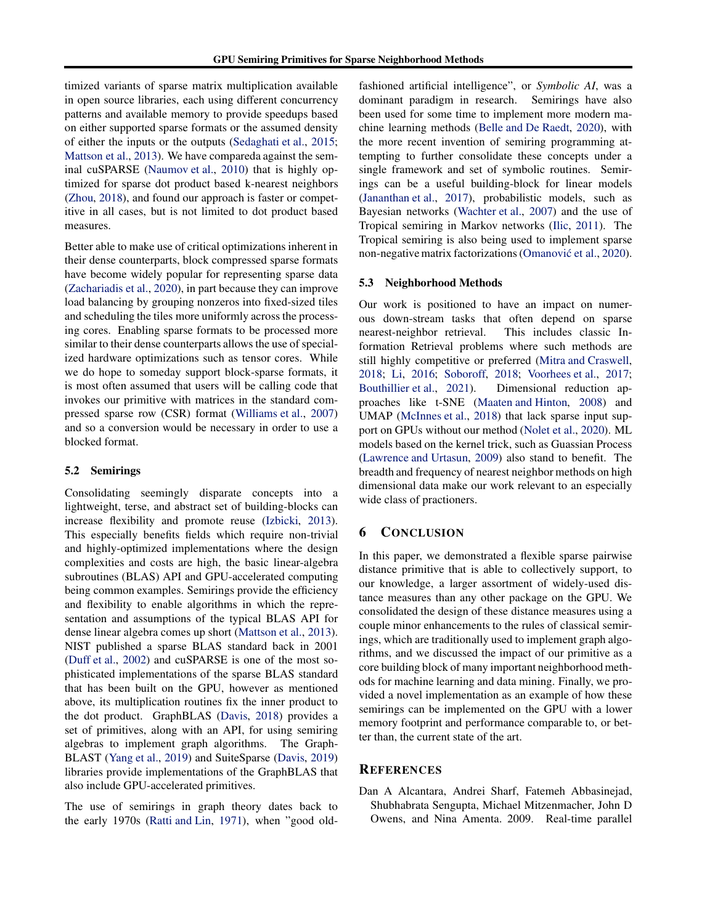<span id="page-9-0"></span>timized variants of sparse matrix multiplication available in open source libraries, each using different concurrency patterns and available memory to provide speedups based on either supported sparse formats or the assumed density of either the inputs or the outputs [\(Sedaghati et al.,](#page-11-0) [2015;](#page-11-0) [Mattson et al.,](#page-11-0) [2013\)](#page-11-0). We have compareda against the seminal cuSPARSE [\(Naumov et al.,](#page-11-0) [2010\)](#page-11-0) that is highly optimized for sparse dot product based k-nearest neighbors [\(Zhou,](#page-12-0) [2018\)](#page-12-0), and found our approach is faster or competitive in all cases, but is not limited to dot product based measures.

Better able to make use of critical optimizations inherent in their dense counterparts, block compressed sparse formats have become widely popular for representing sparse data [\(Zachariadis et al.](#page-12-0), [2020\)](#page-12-0), in part because they can improve load balancing by grouping nonzeros into fixed-sized tiles and scheduling the tiles more uniformly across the processing cores. Enabling sparse formats to be processed more similar to their dense counterparts allows the use of specialized hardware optimizations such as tensor cores. While we do hope to someday support block-sparse formats, it is most often assumed that users will be calling code that invokes our primitive with matrices in the standard compressed sparse row (CSR) format [\(Williams et al.,](#page-12-0) [2007](#page-12-0)) and so a conversion would be necessary in order to use a blocked format.

#### 5.2 Semirings

Consolidating seemingly disparate concepts into a lightweight, terse, and abstract set of building-blocks can increase flexibility and promote reuse [\(Izbicki,](#page-11-0) [2013\)](#page-11-0). This especially benefits fields which require non-trivial and highly-optimized implementations where the design complexities and costs are high, the basic linear-algebra subroutines (BLAS) API and GPU-accelerated computing being common examples. Semirings provide the efficiency and flexibility to enable algorithms in which the representation and assumptions of the typical BLAS API for dense linear algebra comes up short [\(Mattson et al.,](#page-11-0) [2013\)](#page-11-0). NIST published a sparse BLAS standard back in 2001 [\(Duff et al.](#page-10-0), [2002](#page-10-0)) and cuSPARSE is one of the most sophisticated implementations of the sparse BLAS standard that has been built on the GPU, however as mentioned above, its multiplication routines fix the inner product to the dot product. GraphBLAS [\(Davis,](#page-10-0) [2018\)](#page-10-0) provides a set of primitives, along with an API, for using semiring algebras to implement graph algorithms. The Graph-BLAST [\(Yang et al.,](#page-12-0) [2019\)](#page-12-0) and SuiteSparse [\(Davis,](#page-10-0) [2019](#page-10-0)) libraries provide implementations of the GraphBLAS that also include GPU-accelerated primitives.

The use of semirings in graph theory dates back to the early 1970s [\(Ratti and Lin,](#page-11-0) [1971\)](#page-11-0), when "good old-

fashioned artificial intelligence", or *Symbolic AI*, was a dominant paradigm in research. Semirings have also been used for some time to implement more modern machine learning methods [\(Belle and De Raedt,](#page-10-0) [2020\)](#page-10-0), with the more recent invention of semiring programming attempting to further consolidate these concepts under a single framework and set of symbolic routines. Semirings can be a useful building-block for linear models [\(Jananthan et al.](#page-11-0), [2017](#page-11-0)), probabilistic models, such as Bayesian networks [\(Wachter et al.,](#page-12-0) [2007\)](#page-12-0) and the use of Tropical semiring in Markov networks [\(Ilic,](#page-10-0) [2011](#page-10-0)). The Tropical semiring is also being used to implement sparse non-negative matrix factorizations (Omanović et al., [2020\)](#page-11-0).

### 5.3 Neighborhood Methods

Our work is positioned to have an impact on numerous down-stream tasks that often depend on sparse nearest-neighbor retrieval. This includes classic Information Retrieval problems where such methods are still highly competitive or preferred [\(Mitra and Craswell,](#page-11-0) [2018;](#page-11-0) [Li,](#page-11-0) [2016;](#page-11-0) [Soboroff,](#page-12-0) [2018;](#page-12-0) Voorhees et al., 2017; [Bouthillier et al.](#page-10-0), [2021](#page-10-0)). Dimensional reduction approaches like t-SNE [\(Maaten and Hinton,](#page-11-0) [2008](#page-11-0)) and UMAP [\(McInnes et al.,](#page-11-0) [2018\)](#page-11-0) that lack sparse input support on GPUs without our method [\(Nolet et al.,](#page-11-0) [2020\)](#page-11-0). ML models based on the kernel trick, such as Guassian Process [\(Lawrence and Urtasun,](#page-11-0) [2009\)](#page-11-0) also stand to benefit. The breadth and frequency of nearest neighbor methods on high dimensional data make our work relevant to an especially wide class of practioners.

## 6 CONCLUSION

In this paper, we demonstrated a flexible sparse pairwise distance primitive that is able to collectively support, to our knowledge, a larger assortment of widely-used distance measures than any other package on the GPU. We consolidated the design of these distance measures using a couple minor enhancements to the rules of classical semirings, which are traditionally used to implement graph algorithms, and we discussed the impact of our primitive as a core building block of many important neighborhood methods for machine learning and data mining. Finally, we provided a novel implementation as an example of how these semirings can be implemented on the GPU with a lower memory footprint and performance comparable to, or better than, the current state of the art.

## **REFERENCES**

Dan A Alcantara, Andrei Sharf, Fatemeh Abbasinejad, Shubhabrata Sengupta, Michael Mitzenmacher, John D Owens, and Nina Amenta. 2009. Real-time parallel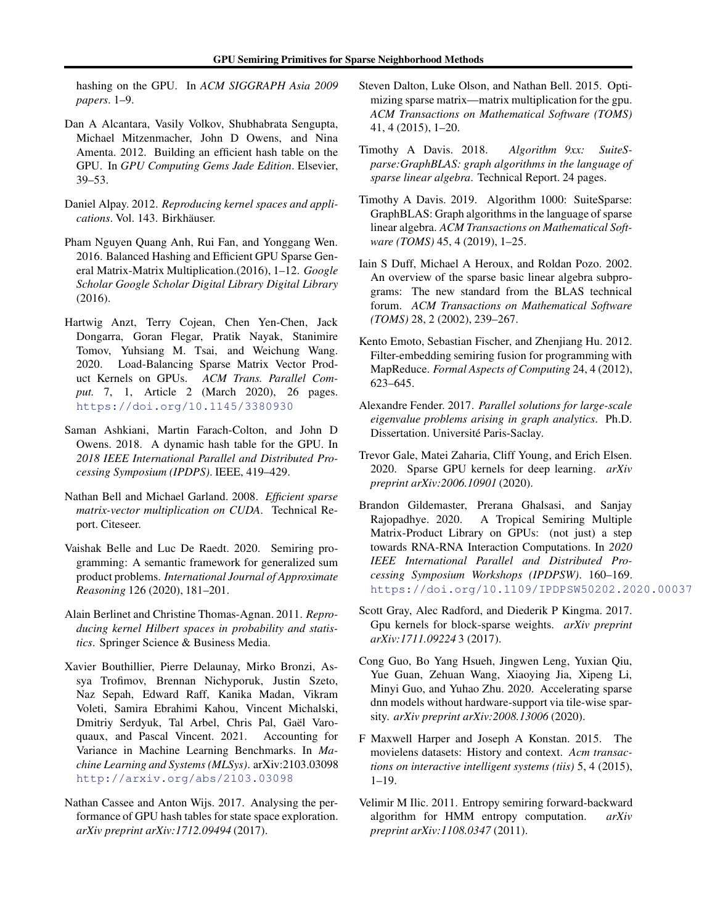<span id="page-10-0"></span>hashing on the GPU. In *ACM SIGGRAPH Asia 2009 papers*. 1–9.

- Dan A Alcantara, Vasily Volkov, Shubhabrata Sengupta, Michael Mitzenmacher, John D Owens, and Nina Amenta. 2012. Building an efficient hash table on the GPU. In *GPU Computing Gems Jade Edition*. Elsevier, 39–53.
- Daniel Alpay. 2012. *Reproducing kernel spaces and applications*. Vol. 143. Birkhäuser.
- Pham Nguyen Quang Anh, Rui Fan, and Yonggang Wen. 2016. Balanced Hashing and Efficient GPU Sparse General Matrix-Matrix Multiplication.(2016), 1–12. *Google Scholar Google Scholar Digital Library Digital Library* (2016).
- Hartwig Anzt, Terry Cojean, Chen Yen-Chen, Jack Dongarra, Goran Flegar, Pratik Nayak, Stanimire Tomov, Yuhsiang M. Tsai, and Weichung Wang. 2020. Load-Balancing Sparse Matrix Vector Product Kernels on GPUs. *ACM Trans. Parallel Comput.* 7, 1, Article 2 (March 2020), 26 pages. <https://doi.org/10.1145/3380930>
- Saman Ashkiani, Martin Farach-Colton, and John D Owens. 2018. A dynamic hash table for the GPU. In *2018 IEEE International Parallel and Distributed Processing Symposium (IPDPS)*. IEEE, 419–429.
- Nathan Bell and Michael Garland. 2008. *Efficient sparse matrix-vector multiplication on CUDA*. Technical Report. Citeseer.
- Vaishak Belle and Luc De Raedt. 2020. Semiring programming: A semantic framework for generalized sum product problems. *International Journal of Approximate Reasoning* 126 (2020), 181–201.
- Alain Berlinet and Christine Thomas-Agnan. 2011. *Reproducing kernel Hilbert spaces in probability and statistics*. Springer Science & Business Media.
- Xavier Bouthillier, Pierre Delaunay, Mirko Bronzi, Assya Trofimov, Brennan Nichyporuk, Justin Szeto, Naz Sepah, Edward Raff, Kanika Madan, Vikram Voleti, Samira Ebrahimi Kahou, Vincent Michalski, Dmitriy Serdyuk, Tal Arbel, Chris Pal, Gaël Varoquaux, and Pascal Vincent. 2021. Accounting for Variance in Machine Learning Benchmarks. In *Machine Learning and Systems (MLSys)*. arXiv:2103.03098 <http://arxiv.org/abs/2103.03098>
- Nathan Cassee and Anton Wijs. 2017. Analysing the performance of GPU hash tables for state space exploration. *arXiv preprint arXiv:1712.09494* (2017).
- Steven Dalton, Luke Olson, and Nathan Bell. 2015. Optimizing sparse matrix—matrix multiplication for the gpu. *ACM Transactions on Mathematical Software (TOMS)* 41, 4 (2015), 1–20.
- Timothy A Davis. 2018. *Algorithm 9xx: SuiteSparse:GraphBLAS: graph algorithms in the language of sparse linear algebra*. Technical Report. 24 pages.
- Timothy A Davis. 2019. Algorithm 1000: SuiteSparse: GraphBLAS: Graph algorithms in the language of sparse linear algebra. *ACM Transactions on Mathematical Software (TOMS)* 45, 4 (2019), 1–25.
- Iain S Duff, Michael A Heroux, and Roldan Pozo. 2002. An overview of the sparse basic linear algebra subprograms: The new standard from the BLAS technical forum. *ACM Transactions on Mathematical Software (TOMS)* 28, 2 (2002), 239–267.
- Kento Emoto, Sebastian Fischer, and Zhenjiang Hu. 2012. Filter-embedding semiring fusion for programming with MapReduce. *Formal Aspects of Computing* 24, 4 (2012), 623–645.
- Alexandre Fender. 2017. *Parallel solutions for large-scale eigenvalue problems arising in graph analytics*. Ph.D. Dissertation. Université Paris-Saclay.
- Trevor Gale, Matei Zaharia, Cliff Young, and Erich Elsen. 2020. Sparse GPU kernels for deep learning. *arXiv preprint arXiv:2006.10901* (2020).
- Brandon Gildemaster, Prerana Ghalsasi, and Sanjay Rajopadhye. 2020. A Tropical Semiring Multiple Matrix-Product Library on GPUs: (not just) a step towards RNA-RNA Interaction Computations. In *2020 IEEE International Parallel and Distributed Processing Symposium Workshops (IPDPSW)*. 160–169. <https://doi.org/10.1109/IPDPSW50202.2020.00037>
- Scott Gray, Alec Radford, and Diederik P Kingma. 2017. Gpu kernels for block-sparse weights. *arXiv preprint arXiv:1711.09224* 3 (2017).
- Cong Guo, Bo Yang Hsueh, Jingwen Leng, Yuxian Qiu, Yue Guan, Zehuan Wang, Xiaoying Jia, Xipeng Li, Minyi Guo, and Yuhao Zhu. 2020. Accelerating sparse dnn models without hardware-support via tile-wise sparsity. *arXiv preprint arXiv:2008.13006* (2020).
- F Maxwell Harper and Joseph A Konstan. 2015. The movielens datasets: History and context. *Acm transactions on interactive intelligent systems (tiis)* 5, 4 (2015), 1–19.
- Velimir M Ilic. 2011. Entropy semiring forward-backward algorithm for HMM entropy computation. *arXiv preprint arXiv:1108.0347* (2011).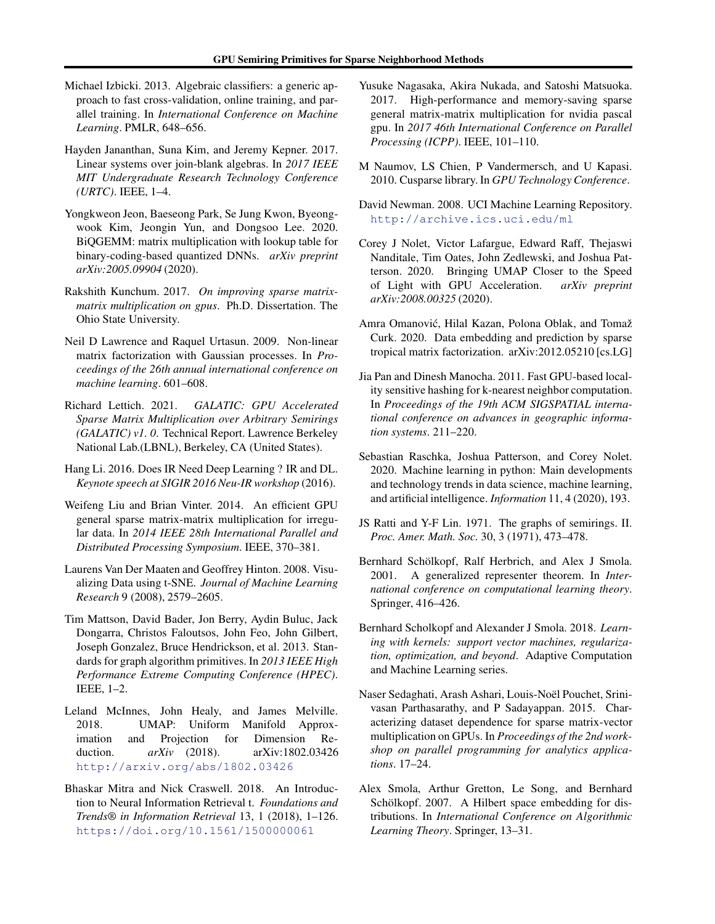- <span id="page-11-0"></span>Michael Izbicki. 2013. Algebraic classifiers: a generic approach to fast cross-validation, online training, and parallel training. In *International Conference on Machine Learning*. PMLR, 648–656.
- Hayden Jananthan, Suna Kim, and Jeremy Kepner. 2017. Linear systems over join-blank algebras. In *2017 IEEE MIT Undergraduate Research Technology Conference (URTC)*. IEEE, 1–4.
- Yongkweon Jeon, Baeseong Park, Se Jung Kwon, Byeongwook Kim, Jeongin Yun, and Dongsoo Lee. 2020. BiQGEMM: matrix multiplication with lookup table for binary-coding-based quantized DNNs. *arXiv preprint arXiv:2005.09904* (2020).
- Rakshith Kunchum. 2017. *On improving sparse matrixmatrix multiplication on gpus*. Ph.D. Dissertation. The Ohio State University.
- Neil D Lawrence and Raquel Urtasun. 2009. Non-linear matrix factorization with Gaussian processes. In *Proceedings of the 26th annual international conference on machine learning*. 601–608.
- Richard Lettich. 2021. *GALATIC: GPU Accelerated Sparse Matrix Multiplication over Arbitrary Semirings (GALATIC) v1. 0*. Technical Report. Lawrence Berkeley National Lab.(LBNL), Berkeley, CA (United States).
- Hang Li. 2016. Does IR Need Deep Learning ? IR and DL. *Keynote speech at SIGIR 2016 Neu-IR workshop* (2016).
- Weifeng Liu and Brian Vinter. 2014. An efficient GPU general sparse matrix-matrix multiplication for irregular data. In *2014 IEEE 28th International Parallel and Distributed Processing Symposium*. IEEE, 370–381.
- Laurens Van Der Maaten and Geoffrey Hinton. 2008. Visualizing Data using t-SNE. *Journal of Machine Learning Research* 9 (2008), 2579–2605.
- Tim Mattson, David Bader, Jon Berry, Aydin Buluc, Jack Dongarra, Christos Faloutsos, John Feo, John Gilbert, Joseph Gonzalez, Bruce Hendrickson, et al. 2013. Standards for graph algorithm primitives. In *2013 IEEE High Performance Extreme Computing Conference (HPEC)*. IEEE, 1–2.
- Leland McInnes, John Healy, and James Melville. 2018. UMAP: Uniform Manifold Approximation and Projection for Dimension Reduction. *arXiv* (2018). arXiv:1802.03426 <http://arxiv.org/abs/1802.03426>
- Bhaskar Mitra and Nick Craswell. 2018. An Introduction to Neural Information Retrieval t. *Foundations and Trends® in Information Retrieval* 13, 1 (2018), 1–126. <https://doi.org/10.1561/1500000061>
- Yusuke Nagasaka, Akira Nukada, and Satoshi Matsuoka. 2017. High-performance and memory-saving sparse general matrix-matrix multiplication for nvidia pascal gpu. In *2017 46th International Conference on Parallel Processing (ICPP)*. IEEE, 101–110.
- M Naumov, LS Chien, P Vandermersch, and U Kapasi. 2010. Cusparse library. In *GPU Technology Conference*.
- David Newman. 2008. UCI Machine Learning Repository. <http://archive.ics.uci.edu/ml>
- Corey J Nolet, Victor Lafargue, Edward Raff, Thejaswi Nanditale, Tim Oates, John Zedlewski, and Joshua Patterson. 2020. Bringing UMAP Closer to the Speed of Light with GPU Acceleration. *arXiv preprint arXiv:2008.00325* (2020).
- Amra Omanović, Hilal Kazan, Polona Oblak, and Tomaž Curk. 2020. Data embedding and prediction by sparse tropical matrix factorization. arXiv:2012.05210 [cs.LG]
- Jia Pan and Dinesh Manocha. 2011. Fast GPU-based locality sensitive hashing for k-nearest neighbor computation. In *Proceedings of the 19th ACM SIGSPATIAL international conference on advances in geographic information systems*. 211–220.
- Sebastian Raschka, Joshua Patterson, and Corey Nolet. 2020. Machine learning in python: Main developments and technology trends in data science, machine learning, and artificial intelligence. *Information* 11, 4 (2020), 193.
- JS Ratti and Y-F Lin. 1971. The graphs of semirings. II. *Proc. Amer. Math. Soc.* 30, 3 (1971), 473–478.
- Bernhard Schölkopf, Ralf Herbrich, and Alex J Smola. 2001. A generalized representer theorem. In *International conference on computational learning theory*. Springer, 416–426.
- Bernhard Scholkopf and Alexander J Smola. 2018. *Learning with kernels: support vector machines, regularization, optimization, and beyond*. Adaptive Computation and Machine Learning series.
- Naser Sedaghati, Arash Ashari, Louis-Noël Pouchet, Srinivasan Parthasarathy, and P Sadayappan. 2015. Characterizing dataset dependence for sparse matrix-vector multiplication on GPUs. In *Proceedings of the 2nd workshop on parallel programming for analytics applications*. 17–24.
- Alex Smola, Arthur Gretton, Le Song, and Bernhard Schölkopf. 2007. A Hilbert space embedding for distributions. In *International Conference on Algorithmic Learning Theory*. Springer, 13–31.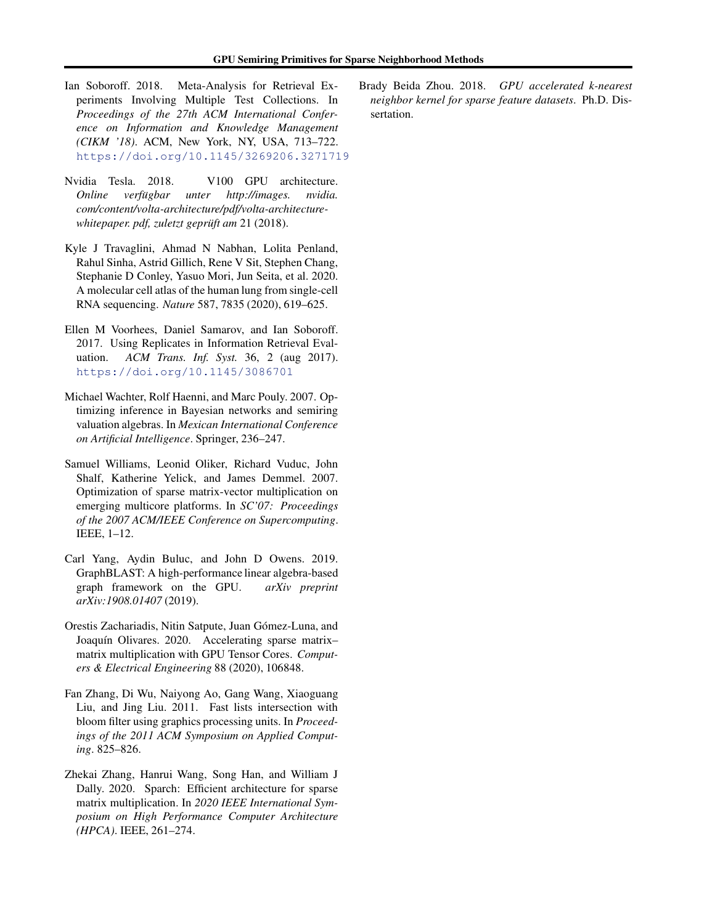- <span id="page-12-0"></span>Ian Soboroff. 2018. Meta-Analysis for Retrieval Experiments Involving Multiple Test Collections. In *Proceedings of the 27th ACM International Conference on Information and Knowledge Management (CIKM '18)*. ACM, New York, NY, USA, 713–722. <https://doi.org/10.1145/3269206.3271719>
- Nvidia Tesla. 2018. V100 GPU architecture. *Online verfügbar unter http://images. nvidia. com/content/volta-architecture/pdf/volta-architecturewhitepaper. pdf, zuletzt geprüft am* 21 (2018).
- Kyle J Travaglini, Ahmad N Nabhan, Lolita Penland, Rahul Sinha, Astrid Gillich, Rene V Sit, Stephen Chang, Stephanie D Conley, Yasuo Mori, Jun Seita, et al. 2020. A molecular cell atlas of the human lung from single-cell RNA sequencing. *Nature* 587, 7835 (2020), 619–625.
- Ellen M Voorhees, Daniel Samarov, and Ian Soboroff. 2017. Using Replicates in Information Retrieval Evaluation. *ACM Trans. Inf. Syst.* 36, 2 (aug 2017). <https://doi.org/10.1145/3086701>
- Michael Wachter, Rolf Haenni, and Marc Pouly. 2007. Optimizing inference in Bayesian networks and semiring valuation algebras. In *Mexican International Conference on Artificial Intelligence*. Springer, 236–247.
- Samuel Williams, Leonid Oliker, Richard Vuduc, John Shalf, Katherine Yelick, and James Demmel. 2007. Optimization of sparse matrix-vector multiplication on emerging multicore platforms. In *SC'07: Proceedings of the 2007 ACM/IEEE Conference on Supercomputing*. IEEE, 1–12.
- Carl Yang, Aydin Buluc, and John D Owens. 2019. GraphBLAST: A high-performance linear algebra-based graph framework on the GPU. *arXiv preprint arXiv:1908.01407* (2019).
- Orestis Zachariadis, Nitin Satpute, Juan Gómez-Luna, and Joaquín Olivares. 2020. Accelerating sparse matrixmatrix multiplication with GPU Tensor Cores. *Computers & Electrical Engineering* 88 (2020), 106848.
- Fan Zhang, Di Wu, Naiyong Ao, Gang Wang, Xiaoguang Liu, and Jing Liu. 2011. Fast lists intersection with bloom filter using graphics processing units. In *Proceedings of the 2011 ACM Symposium on Applied Computing*. 825–826.
- Zhekai Zhang, Hanrui Wang, Song Han, and William J Dally. 2020. Sparch: Efficient architecture for sparse matrix multiplication. In *2020 IEEE International Symposium on High Performance Computer Architecture (HPCA)*. IEEE, 261–274.

Brady Beida Zhou. 2018. *GPU accelerated k-nearest neighbor kernel for sparse feature datasets*. Ph.D. Dissertation.